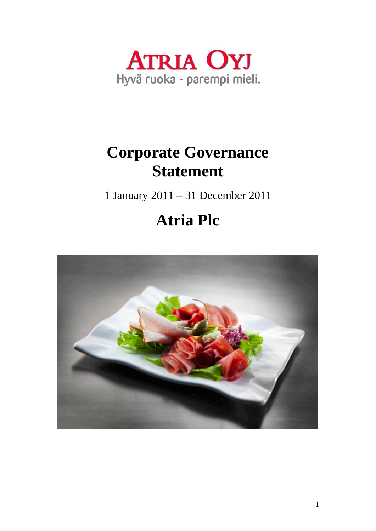

# **Corporate Governance Statement**

1 January 2011 – 31 December 2011

# **Atria Plc**

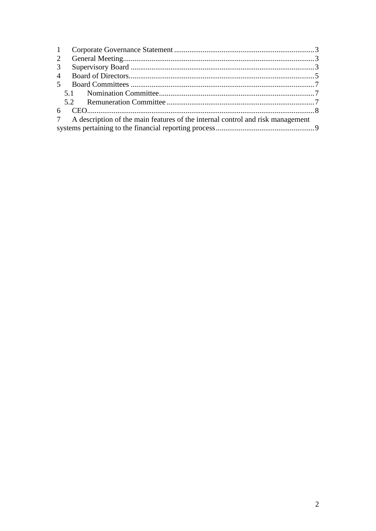| 2              |                                                                                  |  |  |  |
|----------------|----------------------------------------------------------------------------------|--|--|--|
| 3 <sup>7</sup> |                                                                                  |  |  |  |
|                |                                                                                  |  |  |  |
|                |                                                                                  |  |  |  |
|                |                                                                                  |  |  |  |
|                |                                                                                  |  |  |  |
|                |                                                                                  |  |  |  |
|                | 7 A description of the main features of the internal control and risk management |  |  |  |
|                |                                                                                  |  |  |  |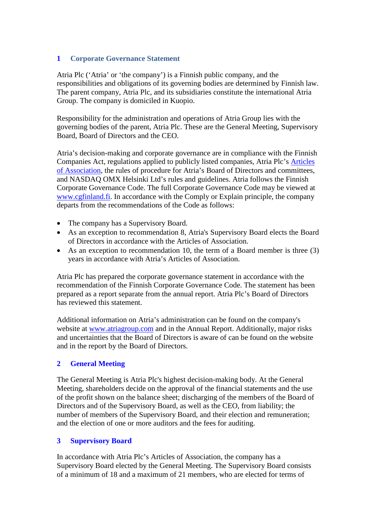### <span id="page-2-0"></span>**1 Corporate Governance Statement**

Atria Plc ('Atria' or 'the company') is a Finnish public company, and the responsibilities and obligations of its governing bodies are determined by Finnish law. The parent company, Atria Plc, and its subsidiaries constitute the international Atria Group. The company is domiciled in Kuopio.

Responsibility for the administration and operations of Atria Group lies with the governing bodies of the parent, Atria Plc. These are the General Meeting, Supervisory Board, Board of Directors and the CEO.

Atria's decision-making and corporate governance are in compliance with the Finnish Companies Act, regulations applied to publicly listed companies, Atria Plc's [Articles](http://www.atria.fi/asp/empty.asp?P=1114&VID=default&SID=239806568096675&S=0&C=20721)  [of Association,](http://www.atria.fi/asp/empty.asp?P=1114&VID=default&SID=239806568096675&S=0&C=20721) the rules of procedure for Atria's Board of Directors and committees, and NASDAQ OMX Helsinki Ltd's rules and guidelines. Atria follows the Finnish Corporate Governance Code. The full Corporate Governance Code may be viewed at [www.cgfinland.fi.](http://www.cgfinland.fi/) In accordance with the Comply or Explain principle, the company departs from the recommendations of the Code as follows:

- The company has a Supervisory Board.
- As an exception to recommendation 8, Atria's Supervisory Board elects the Board of Directors in accordance with the Articles of Association.
- As an exception to recommendation 10, the term of a Board member is three (3) years in accordance with Atria's Articles of Association.

Atria Plc has prepared the corporate governance statement in accordance with the recommendation of the Finnish Corporate Governance Code. The statement has been prepared as a report separate from the annual report. Atria Plc's Board of Directors has reviewed this statement.

Additional information on Atria's administration can be found on the company's website at [www.atriagroup.com](http://www.atriagroup.com/) and in the Annual Report. Additionally, major risks and uncertainties that the Board of Directors is aware of can be found on the website and in the report by the Board of Directors.

## <span id="page-2-1"></span>**2 General Meeting**

The General Meeting is Atria Plc's highest decision-making body. At the General Meeting, shareholders decide on the approval of the financial statements and the use of the profit shown on the balance sheet; discharging of the members of the Board of Directors and of the Supervisory Board, as well as the CEO, from liability; the number of members of the Supervisory Board, and their election and remuneration; and the election of one or more auditors and the fees for auditing.

## <span id="page-2-2"></span>**3 Supervisory Board**

In accordance with Atria Plc's Articles of Association, the company has a Supervisory Board elected by the General Meeting. The Supervisory Board consists of a minimum of 18 and a maximum of 21 members, who are elected for terms of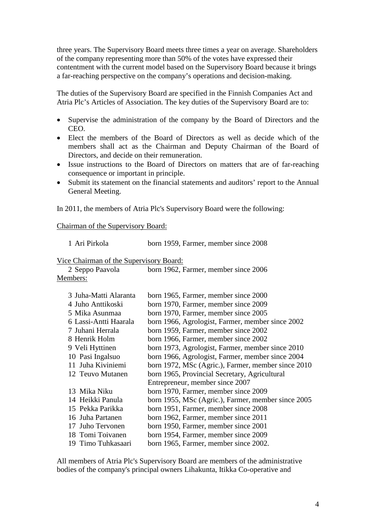three years. The Supervisory Board meets three times a year on average. Shareholders of the company representing more than 50% of the votes have expressed their contentment with the current model based on the Supervisory Board because it brings a far-reaching perspective on the company's operations and decision-making.

The duties of the Supervisory Board are specified in the Finnish Companies Act and Atria Plc's Articles of Association. The key duties of the Supervisory Board are to:

- Supervise the administration of the company by the Board of Directors and the CEO.
- Elect the members of the Board of Directors as well as decide which of the members shall act as the Chairman and Deputy Chairman of the Board of Directors, and decide on their remuneration.
- Issue instructions to the Board of Directors on matters that are of far-reaching consequence or important in principle.
- Submit its statement on the financial statements and auditors' report to the Annual General Meeting.

In 2011, the members of Atria Plc's Supervisory Board were the following:

Chairman of the Supervisory Board:

1 Ari Pirkola born 1959, Farmer, member since 2008

Vice Chairman of the Supervisory Board:

| 2 Seppo Paavola | born 1962, Farmer, member since 2006 |
|-----------------|--------------------------------------|
| Members:        |                                      |

| 3 Juha-Matti Alaranta | born 1965, Farmer, member since 2000               |
|-----------------------|----------------------------------------------------|
| 4 Juho Anttikoski     | born 1970, Farmer, member since 2009               |
| 5 Mika Asunmaa        | born 1970, Farmer, member since 2005               |
| 6 Lassi-Antti Haarala | born 1966, Agrologist, Farmer, member since 2002   |
| 7 Juhani Herrala      | born 1959, Farmer, member since 2002               |
| 8 Henrik Holm         | born 1966, Farmer, member since 2002               |
| 9 Veli Hyttinen       | born 1973, Agrologist, Farmer, member since 2010   |
| 10 Pasi Ingalsuo      | born 1966, Agrologist, Farmer, member since 2004   |
| 11 Juha Kiviniemi     | born 1972, MSc (Agric.), Farmer, member since 2010 |
| 12 Teuvo Mutanen      | born 1965, Provincial Secretary, Agricultural      |
|                       | Entrepreneur, member since 2007                    |
| 13 Mika Niku          | born 1970, Farmer, member since 2009               |
| 14 Heikki Panula      | born 1955, MSc (Agric.), Farmer, member since 2005 |
| 15 Pekka Parikka      | born 1951, Farmer, member since 2008               |
| 16 Juha Partanen      | born 1962, Farmer, member since 2011               |
| 17 Juho Tervonen      | born 1950, Farmer, member since 2001               |
| 18 Tomi Toivanen      | born 1954, Farmer, member since 2009               |
| 19 Timo Tuhkasaari    | born 1965, Farmer, member since 2002.              |

All members of Atria Plc's Supervisory Board are members of the administrative bodies of the company's principal owners Lihakunta, Itikka Co-operative and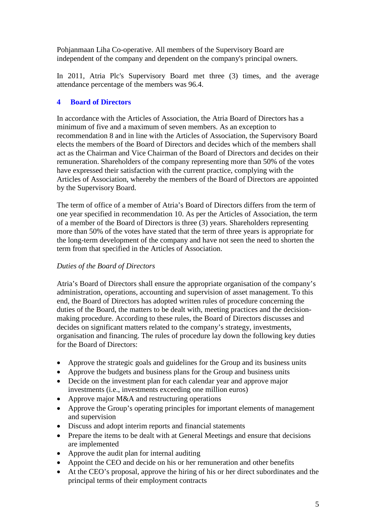Pohjanmaan Liha Co-operative. All members of the Supervisory Board are independent of the company and dependent on the company's principal owners.

In 2011, Atria Plc's Supervisory Board met three (3) times, and the average attendance percentage of the members was 96.4.

# <span id="page-4-0"></span>**4 Board of Directors**

In accordance with the Articles of Association, the Atria Board of Directors has a minimum of five and a maximum of seven members. As an exception to recommendation 8 and in line with the Articles of Association, the Supervisory Board elects the members of the Board of Directors and decides which of the members shall act as the Chairman and Vice Chairman of the Board of Directors and decides on their remuneration. Shareholders of the company representing more than 50% of the votes have expressed their satisfaction with the current practice, complying with the Articles of Association, whereby the members of the Board of Directors are appointed by the Supervisory Board.

The term of office of a member of Atria's Board of Directors differs from the term of one year specified in recommendation 10. As per the Articles of Association, the term of a member of the Board of Directors is three (3) years. Shareholders representing more than 50% of the votes have stated that the term of three years is appropriate for the long-term development of the company and have not seen the need to shorten the term from that specified in the Articles of Association.

## *Duties of the Board of Directors*

Atria's Board of Directors shall ensure the appropriate organisation of the company's administration, operations, accounting and supervision of asset management. To this end, the Board of Directors has adopted written rules of procedure concerning the duties of the Board, the matters to be dealt with, meeting practices and the decisionmaking procedure. According to these rules, the Board of Directors discusses and decides on significant matters related to the company's strategy, investments, organisation and financing. The rules of procedure lay down the following key duties for the Board of Directors:

- Approve the strategic goals and guidelines for the Group and its business units
- Approve the budgets and business plans for the Group and business units
- Decide on the investment plan for each calendar year and approve major investments (i.e., investments exceeding one million euros)
- Approve major M&A and restructuring operations
- Approve the Group's operating principles for important elements of management and supervision
- Discuss and adopt interim reports and financial statements
- Prepare the items to be dealt with at General Meetings and ensure that decisions are implemented
- Approve the audit plan for internal auditing
- Appoint the CEO and decide on his or her remuneration and other benefits
- At the CEO's proposal, approve the hiring of his or her direct subordinates and the principal terms of their employment contracts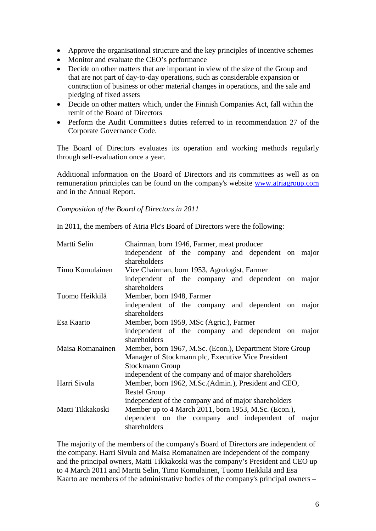- Approve the organisational structure and the key principles of incentive schemes
- Monitor and evaluate the CEO's performance
- Decide on other matters that are important in view of the size of the Group and that are not part of day-to-day operations, such as considerable expansion or contraction of business or other material changes in operations, and the sale and pledging of fixed assets
- Decide on other matters which, under the Finnish Companies Act, fall within the remit of the Board of Directors
- Perform the Audit Committee's duties referred to in recommendation 27 of the Corporate Governance Code.

The Board of Directors evaluates its operation and working methods regularly through self-evaluation once a year.

Additional information on the Board of Directors and its committees as well as on remuneration principles can be found on the company's website [www.atriagroup.com](http://www.atriagroup.com/) and in the Annual Report.

*Composition of the Board of Directors in 2011*

In 2011, the members of Atria Plc's Board of Directors were the following:

| Martti Selin     | Chairman, born 1946, Farmer, meat producer                        |  |  |  |  |
|------------------|-------------------------------------------------------------------|--|--|--|--|
|                  | independent of the company and dependent on major                 |  |  |  |  |
|                  | shareholders                                                      |  |  |  |  |
| Timo Komulainen  | Vice Chairman, born 1953, Agrologist, Farmer                      |  |  |  |  |
|                  | independent of the company and dependent on major<br>shareholders |  |  |  |  |
| Tuomo Heikkilä   | Member, born 1948, Farmer                                         |  |  |  |  |
|                  | independent of the company and dependent on major                 |  |  |  |  |
|                  | shareholders                                                      |  |  |  |  |
| Esa Kaarto       | Member, born 1959, MSc (Agric.), Farmer                           |  |  |  |  |
|                  | independent of the company and dependent on major<br>shareholders |  |  |  |  |
| Maisa Romanainen | Member, born 1967, M.Sc. (Econ.), Department Store Group          |  |  |  |  |
|                  | Manager of Stockmann plc, Executive Vice President                |  |  |  |  |
|                  | Stockmann Group                                                   |  |  |  |  |
|                  | independent of the company and of major shareholders              |  |  |  |  |
| Harri Sivula     | Member, born 1962, M.Sc. (Admin.), President and CEO,             |  |  |  |  |
|                  | <b>Restel Group</b>                                               |  |  |  |  |
|                  |                                                                   |  |  |  |  |
|                  | independent of the company and of major shareholders              |  |  |  |  |
| Matti Tikkakoski | Member up to 4 March 2011, born 1953, M.Sc. (Econ.),              |  |  |  |  |
|                  | dependent on the company and independent of major<br>shareholders |  |  |  |  |

The majority of the members of the company's Board of Directors are independent of the company. Harri Sivula and Maisa Romanainen are independent of the company and the principal owners, Matti Tikkakoski was the company's President and CEO up to 4 March 2011 and Martti Selin, Timo Komulainen, Tuomo Heikkilä and Esa Kaarto are members of the administrative bodies of the company's principal owners –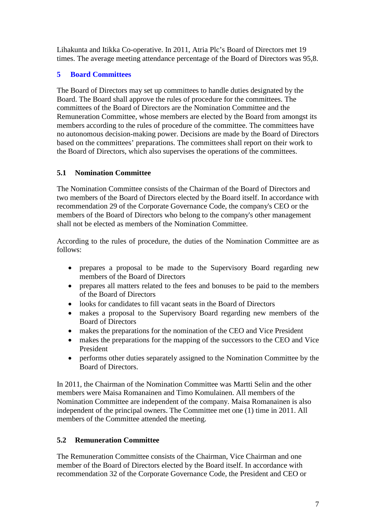Lihakunta and Itikka Co-operative. In 2011, Atria Plc's Board of Directors met 19 times. The average meeting attendance percentage of the Board of Directors was 95,8.

# <span id="page-6-0"></span>**5 Board Committees**

The Board of Directors may set up committees to handle duties designated by the Board. The Board shall approve the rules of procedure for the committees. The committees of the Board of Directors are the Nomination Committee and the Remuneration Committee, whose members are elected by the Board from amongst its members according to the rules of procedure of the committee. The committees have no autonomous decision-making power. Decisions are made by the Board of Directors based on the committees' preparations. The committees shall report on their work to the Board of Directors, which also supervises the operations of the committees.

# <span id="page-6-1"></span>**5.1 Nomination Committee**

The Nomination Committee consists of the Chairman of the Board of Directors and two members of the Board of Directors elected by the Board itself. In accordance with recommendation 29 of the Corporate Governance Code, the company's CEO or the members of the Board of Directors who belong to the company's other management shall not be elected as members of the Nomination Committee.

According to the rules of procedure, the duties of the Nomination Committee are as follows:

- prepares a proposal to be made to the Supervisory Board regarding new members of the Board of Directors
- prepares all matters related to the fees and bonuses to be paid to the members of the Board of Directors
- looks for candidates to fill vacant seats in the Board of Directors
- makes a proposal to the Supervisory Board regarding new members of the Board of Directors
- makes the preparations for the nomination of the CEO and Vice President
- makes the preparations for the mapping of the successors to the CEO and Vice President
- performs other duties separately assigned to the Nomination Committee by the Board of Directors.

In 2011, the Chairman of the Nomination Committee was Martti Selin and the other members were Maisa Romanainen and Timo Komulainen. All members of the Nomination Committee are independent of the company. Maisa Romanainen is also independent of the principal owners. The Committee met one (1) time in 2011. All members of the Committee attended the meeting.

# <span id="page-6-2"></span>**5.2 Remuneration Committee**

The Remuneration Committee consists of the Chairman, Vice Chairman and one member of the Board of Directors elected by the Board itself. In accordance with recommendation 32 of the Corporate Governance Code, the President and CEO or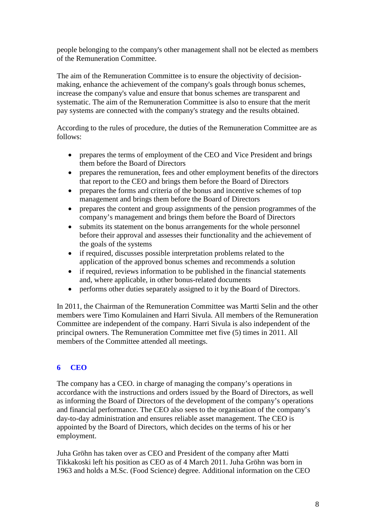people belonging to the company's other management shall not be elected as members of the Remuneration Committee.

The aim of the Remuneration Committee is to ensure the objectivity of decisionmaking, enhance the achievement of the company's goals through bonus schemes, increase the company's value and ensure that bonus schemes are transparent and systematic. The aim of the Remuneration Committee is also to ensure that the merit pay systems are connected with the company's strategy and the results obtained.

According to the rules of procedure, the duties of the Remuneration Committee are as follows:

- prepares the terms of employment of the CEO and Vice President and brings them before the Board of Directors
- prepares the remuneration, fees and other employment benefits of the directors that report to the CEO and brings them before the Board of Directors
- prepares the forms and criteria of the bonus and incentive schemes of top management and brings them before the Board of Directors
- prepares the content and group assignments of the pension programmes of the company's management and brings them before the Board of Directors
- submits its statement on the bonus arrangements for the whole personnel before their approval and assesses their functionality and the achievement of the goals of the systems
- if required, discusses possible interpretation problems related to the application of the approved bonus schemes and recommends a solution
- if required, reviews information to be published in the financial statements and, where applicable, in other bonus-related documents
- performs other duties separately assigned to it by the Board of Directors.

In 2011, the Chairman of the Remuneration Committee was Martti Selin and the other members were Timo Komulainen and Harri Sivula. All members of the Remuneration Committee are independent of the company. Harri Sivula is also independent of the principal owners. The Remuneration Committee met five (5) times in 2011. All members of the Committee attended all meetings.

## <span id="page-7-0"></span>**6 CEO**

The company has a CEO. in charge of managing the company's operations in accordance with the instructions and orders issued by the Board of Directors, as well as informing the Board of Directors of the development of the company's operations and financial performance. The CEO also sees to the organisation of the company's day-to-day administration and ensures reliable asset management. The CEO is appointed by the Board of Directors, which decides on the terms of his or her employment.

Juha Gröhn has taken over as CEO and President of the company after Matti Tikkakoski left his position as CEO as of 4 March 2011. Juha Gröhn was born in 1963 and holds a M.Sc. (Food Science) degree. Additional information on the CEO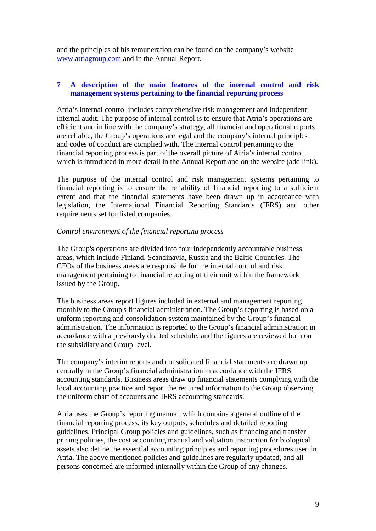and the principles of his remuneration can be found on the company's website [www.atriagroup.com](http://www.atriagroup.com/) and in the Annual Report.

# <span id="page-8-0"></span>**7 A description of the main features of the internal control and risk management systems pertaining to the financial reporting process**

Atria's internal control includes comprehensive risk management and independent internal audit. The purpose of internal control is to ensure that Atria's operations are efficient and in line with the company's strategy, all financial and operational reports are reliable, the Group's operations are legal and the company's internal principles and codes of conduct are complied with. The internal control pertaining to the financial reporting process is part of the overall picture of Atria's internal control, which is introduced in more detail in the Annual Report and on the website (add link).

The purpose of the internal control and risk management systems pertaining to financial reporting is to ensure the reliability of financial reporting to a sufficient extent and that the financial statements have been drawn up in accordance with legislation, the International Financial Reporting Standards (IFRS) and other requirements set for listed companies.

#### *Control environment of the financial reporting process*

The Group's operations are divided into four independently accountable business areas, which include Finland, Scandinavia, Russia and the Baltic Countries. The CFOs of the business areas are responsible for the internal control and risk management pertaining to financial reporting of their unit within the framework issued by the Group.

The business areas report figures included in external and management reporting monthly to the Group's financial administration. The Group's reporting is based on a uniform reporting and consolidation system maintained by the Group's financial administration. The information is reported to the Group's financial administration in accordance with a previously drafted schedule, and the figures are reviewed both on the subsidiary and Group level.

The company's interim reports and consolidated financial statements are drawn up centrally in the Group's financial administration in accordance with the IFRS accounting standards. Business areas draw up financial statements complying with the local accounting practice and report the required information to the Group observing the uniform chart of accounts and IFRS accounting standards.

Atria uses the Group's reporting manual, which contains a general outline of the financial reporting process, its key outputs, schedules and detailed reporting guidelines. Principal Group policies and guidelines, such as financing and transfer pricing policies, the cost accounting manual and valuation instruction for biological assets also define the essential accounting principles and reporting procedures used in Atria. The above mentioned policies and guidelines are regularly updated, and all persons concerned are informed internally within the Group of any changes.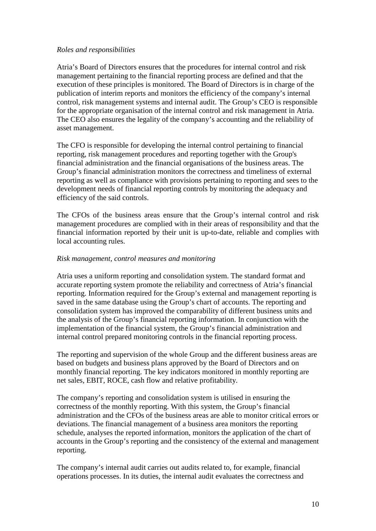#### *Roles and responsibilities*

Atria's Board of Directors ensures that the procedures for internal control and risk management pertaining to the financial reporting process are defined and that the execution of these principles is monitored. The Board of Directors is in charge of the publication of interim reports and monitors the efficiency of the company's internal control, risk management systems and internal audit. The Group's CEO is responsible for the appropriate organisation of the internal control and risk management in Atria. The CEO also ensures the legality of the company's accounting and the reliability of asset management.

The CFO is responsible for developing the internal control pertaining to financial reporting, risk management procedures and reporting together with the Group's financial administration and the financial organisations of the business areas. The Group's financial administration monitors the correctness and timeliness of external reporting as well as compliance with provisions pertaining to reporting and sees to the development needs of financial reporting controls by monitoring the adequacy and efficiency of the said controls.

The CFOs of the business areas ensure that the Group's internal control and risk management procedures are complied with in their areas of responsibility and that the financial information reported by their unit is up-to-date, reliable and complies with local accounting rules.

#### *Risk management, control measures and monitoring*

Atria uses a uniform reporting and consolidation system. The standard format and accurate reporting system promote the reliability and correctness of Atria's financial reporting. Information required for the Group's external and management reporting is saved in the same database using the Group's chart of accounts. The reporting and consolidation system has improved the comparability of different business units and the analysis of the Group's financial reporting information. In conjunction with the implementation of the financial system, the Group's financial administration and internal control prepared monitoring controls in the financial reporting process.

The reporting and supervision of the whole Group and the different business areas are based on budgets and business plans approved by the Board of Directors and on monthly financial reporting. The key indicators monitored in monthly reporting are net sales, EBIT, ROCE, cash flow and relative profitability.

The company's reporting and consolidation system is utilised in ensuring the correctness of the monthly reporting. With this system, the Group's financial administration and the CFOs of the business areas are able to monitor critical errors or deviations. The financial management of a business area monitors the reporting schedule, analyses the reported information, monitors the application of the chart of accounts in the Group's reporting and the consistency of the external and management reporting.

The company's internal audit carries out audits related to, for example, financial operations processes. In its duties, the internal audit evaluates the correctness and